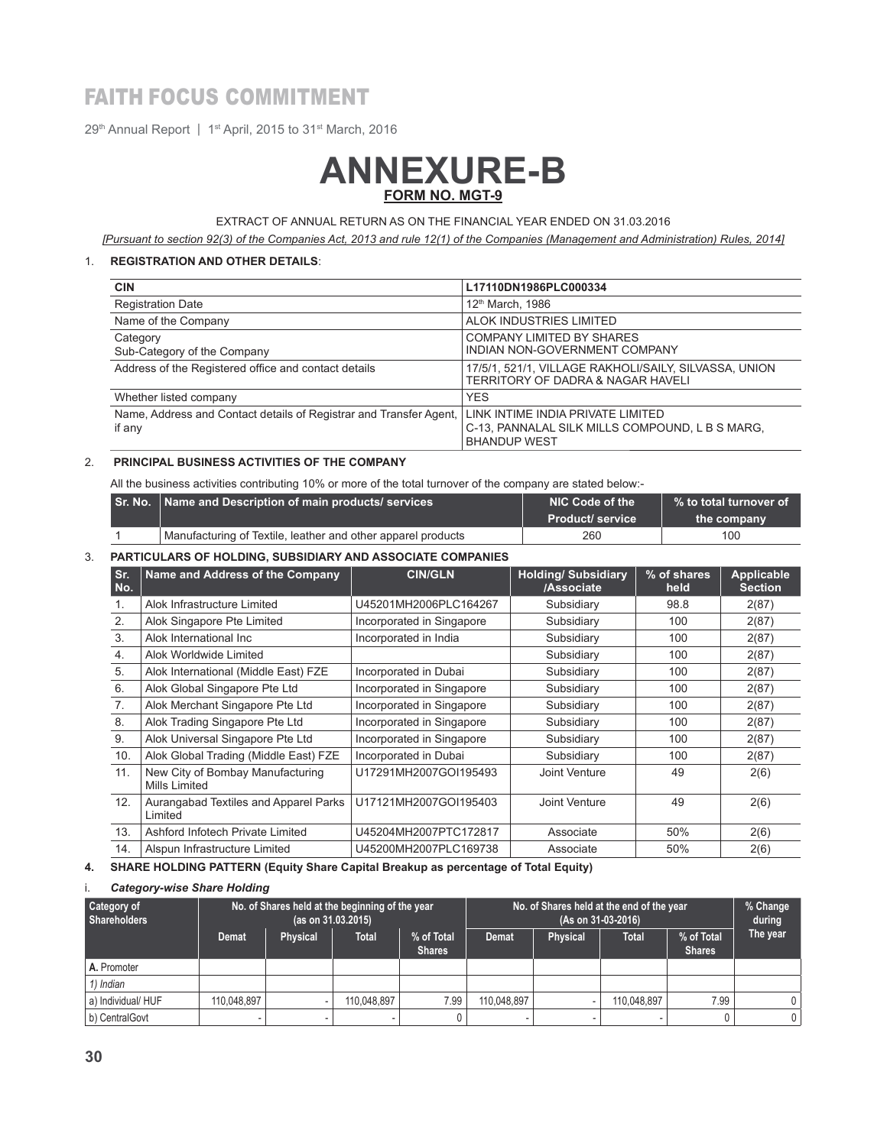## FAITH FOCUS COMMITMENT

29<sup>th</sup> Annual Report | 1<sup>st</sup> April, 2015 to 31<sup>st</sup> March, 2016

# **ANNEXURE-B FORM NO. MGT-9**

EXTRACT OF ANNUAL RETURN AS ON THE FINANCIAL YEAR ENDED ON 31.03.2016

*[Pursuant to section 92(3) of the Companies Act, 2013 and rule 12(1) of the Companies (Management and Administration) Rules, 2014]*

#### 1. **REGISTRATION AND OTHER DETAILS**:

| <b>CIN</b>                                                                   | L17110DN1986PLC000334                                                                                       |  |
|------------------------------------------------------------------------------|-------------------------------------------------------------------------------------------------------------|--|
| <b>Registration Date</b>                                                     | 12 <sup>th</sup> March, 1986                                                                                |  |
| Name of the Company                                                          | ALOK INDUSTRIES LIMITED                                                                                     |  |
| Category<br>Sub-Category of the Company                                      | <b>COMPANY LIMITED BY SHARES</b><br>INDIAN NON-GOVERNMENT COMPANY                                           |  |
| Address of the Registered office and contact details                         | 17/5/1, 521/1, VILLAGE RAKHOLI/SAILY, SILVASSA, UNION<br>TERRITORY OF DADRA & NAGAR HAVELI                  |  |
| Whether listed company                                                       | <b>YES</b>                                                                                                  |  |
| Name, Address and Contact details of Registrar and Transfer Agent,<br>if any | LINK INTIME INDIA PRIVATE LIMITED<br>C-13, PANNALAL SILK MILLS COMPOUND, L B S MARG,<br><b>BHANDUP WEST</b> |  |

#### 2. **PRINCIPAL BUSINESS ACTIVITIES OF THE COMPANY**

All the business activities contributing 10% or more of the total turnover of the company are stated below:-

| Sr. No.   Name and Description of main products/ services    | NIC Code of the  | $\mathord{\hspace{1pt}\text{--}\hspace{1pt}}$ % to total turnover of |  |
|--------------------------------------------------------------|------------------|----------------------------------------------------------------------|--|
|                                                              | Product/ service | the company                                                          |  |
| Manufacturing of Textile, leather and other apparel products | 260              | 100                                                                  |  |

#### 3. **PARTICULARS OF HOLDING, SUBSIDIARY AND ASSOCIATE COMPANIES**

| Sr.<br>No.                                               | Name and Address of the Company       | <b>CIN/GLN</b>            | <b>Holding/Subsidiary</b><br>/Associate | % of shares<br>held | Applicable<br><b>Section</b> |
|----------------------------------------------------------|---------------------------------------|---------------------------|-----------------------------------------|---------------------|------------------------------|
| $\mathbf{1}$ .                                           | Alok Infrastructure Limited           | U45201MH2006PLC164267     | Subsidiary                              | 98.8                | 2(87)                        |
| 2.                                                       | Alok Singapore Pte Limited            | Incorporated in Singapore | Subsidiary                              | 100                 | 2(87)                        |
| 3.                                                       | Alok International Inc                | Incorporated in India     | Subsidiary                              | 100                 | 2(87)                        |
| 4.                                                       | Alok Worldwide Limited                |                           | Subsidiary                              | 100                 | 2(87)                        |
| 5.                                                       | Alok International (Middle East) FZE  | Incorporated in Dubai     | Subsidiary                              | 100                 | 2(87)                        |
| 6.                                                       | Alok Global Singapore Pte Ltd         | Incorporated in Singapore | Subsidiary                              | 100                 | 2(87)                        |
| 7.                                                       | Alok Merchant Singapore Pte Ltd       | Incorporated in Singapore | Subsidiary                              | 100                 | 2(87)                        |
| 8.                                                       | Alok Trading Singapore Pte Ltd        | Incorporated in Singapore | Subsidiary                              | 100                 | 2(87)                        |
| 9.                                                       | Alok Universal Singapore Pte Ltd      | Incorporated in Singapore | Subsidiary                              | 100                 | 2(87)                        |
| 10.                                                      | Alok Global Trading (Middle East) FZE | Incorporated in Dubai     | Subsidiary                              | 100                 | 2(87)                        |
| 11.<br>New City of Bombay Manufacturing<br>Mills Limited |                                       | U17291MH2007GOI195493     | Joint Venture                           | 49                  | 2(6)                         |
| 12.<br>Aurangabad Textiles and Apparel Parks<br>Limited  |                                       | U17121MH2007GOI195403     | Joint Venture                           | 49                  | 2(6)                         |
| 13.                                                      | Ashford Infotech Private Limited      | U45204MH2007PTC172817     | Associate                               | 50%                 | 2(6)                         |
| 14.                                                      | Alspun Infrastructure Limited         | U45200MH2007PLC169738     | Associate                               | 50%                 | 2(6)                         |

#### **4. SHARE HOLDING PATTERN (Equity Share Capital Breakup as percentage of Total Equity)**

#### i. *Category-wise Share Holding*

| Category of<br>Shareholders |                          | No. of Shares held at the beginning of the year | (as on 31.03.2015) |                             | No. of Shares held at the end of the year<br>(As on 31-03-2016) |                 |              | % Change<br>during          |                |
|-----------------------------|--------------------------|-------------------------------------------------|--------------------|-----------------------------|-----------------------------------------------------------------|-----------------|--------------|-----------------------------|----------------|
|                             | <b>Demat</b>             | Physical                                        | <b>Total</b>       | % of Total<br><b>Shares</b> | <b>Demat</b>                                                    | <b>Physical</b> | <b>Total</b> | % of Total<br><b>Shares</b> | The year       |
| A. Promoter                 |                          |                                                 |                    |                             |                                                                 |                 |              |                             |                |
| 1) Indian                   |                          |                                                 |                    |                             |                                                                 |                 |              |                             |                |
| a) Individual/ HUF          | 110.048.897              |                                                 | 110.048.897        | 7.99                        | 110,048,897                                                     |                 | 110.048.897  | 7.99                        |                |
| b) CentralGovt              | $\overline{\phantom{0}}$ |                                                 |                    |                             |                                                                 |                 |              |                             | $\overline{0}$ |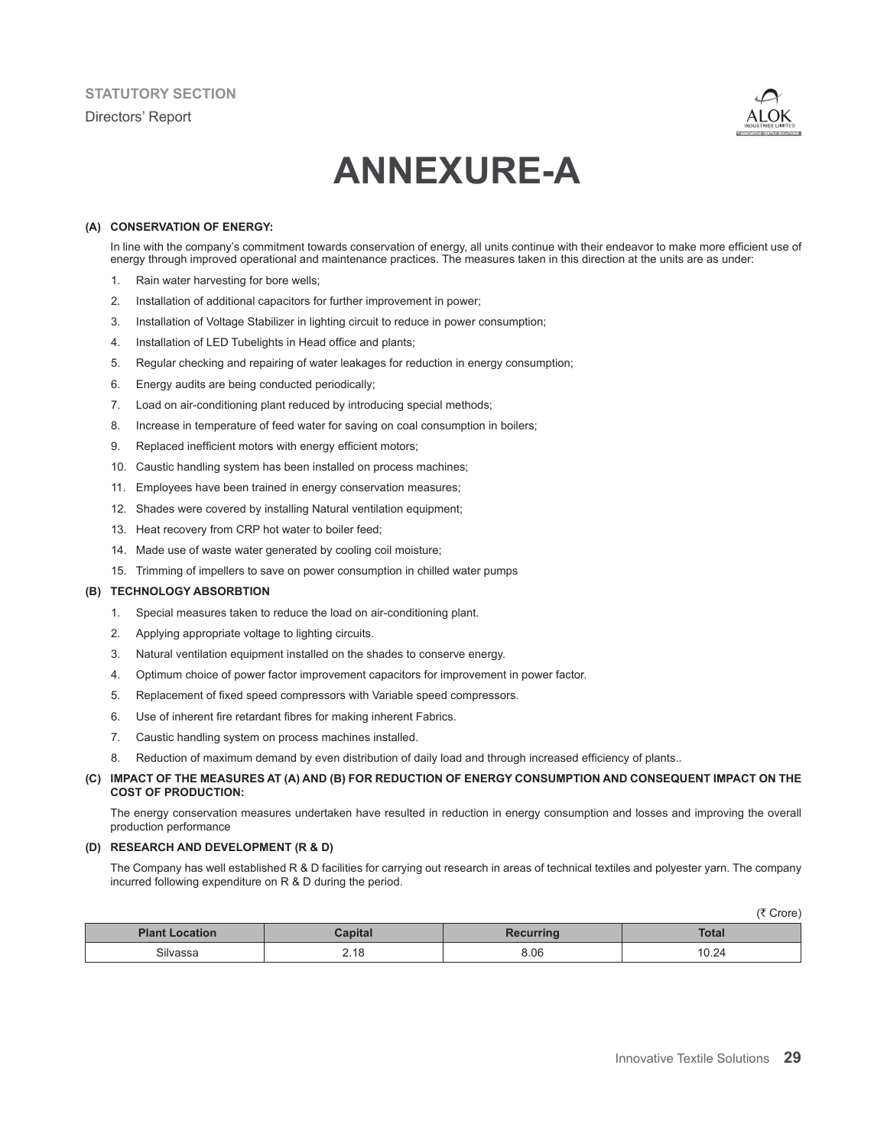

# **ANNEXURE-A**

#### **(A) CONSERVATION OF ENERGY:**

In line with the company's commitment towards conservation of energy, all units continue with their endeavor to make more efficient use of energy through improved operational and maintenance practices. The measures taken in this direction at the units are as under:

- 1. Rain water harvesting for bore wells;
- 2. Installation of additional capacitors for further improvement in power;
- 3. Installation of Voltage Stabilizer in lighting circuit to reduce in power consumption;
- 4. Installation of LED Tubelights in Head office and plants;
- 5. Regular checking and repairing of water leakages for reduction in energy consumption;
- 6. Energy audits are being conducted periodically;
- 7. Load on air-conditioning plant reduced by introducing special methods;
- 8. Increase in temperature of feed water for saving on coal consumption in boilers;
- 9. Replaced inefficient motors with energy efficient motors;
- 10. Caustic handling system has been installed on process machines;
- 11. Employees have been trained in energy conservation measures;
- 12. Shades were covered by installing Natural ventilation equipment;
- 13. Heat recovery from CRP hot water to boiler feed;
- 14. Made use of waste water generated by cooling coil moisture;
- 15. Trimming of impellers to save on power consumption in chilled water pumps

#### **(B) TECHNOLOGY ABSORBTION**

- 1. Special measures taken to reduce the load on air-conditioning plant.
- 2. Applying appropriate voltage to lighting circuits.
- 3. Natural ventilation equipment installed on the shades to conserve energy.
- 4. Optimum choice of power factor improvement capacitors for improvement in power factor.
- 5. Replacement of fixed speed compressors with Variable speed compressors.
- 6. Use of inherent fire retardant fibres for making inherent Fabrics.
- 7. Caustic handling system on process machines installed.
- 8. Reduction of maximum demand by even distribution of daily load and through increased efficiency of plants..

#### **(C) IMPACT OF THE MEASURES AT (A) AND (B) FOR REDUCTION OF ENERGY CONSUMPTION AND CONSEQUENT IMPACT ON THE COST OF PRODUCTION:**

The energy conservation measures undertaken have resulted in reduction in energy consumption and losses and improving the overall production performance

#### **(D) RESEARCH AND DEVELOPMENT (R & D)**

The Company has well established R & D facilities for carrying out research in areas of technical textiles and polyester yarn. The company incurred following expenditure on R & D during the period.

|                       |                           |          | .     |
|-----------------------|---------------------------|----------|-------|
| <b>Plant Location</b> | <b>apital</b>             | acurrina | Total |
| <b>- </b><br>3ilvaeea | $\Delta$ $\Omega$<br>2.10 | 8.06     | 10.24 |

 $(\bar{\tau}$  Crore)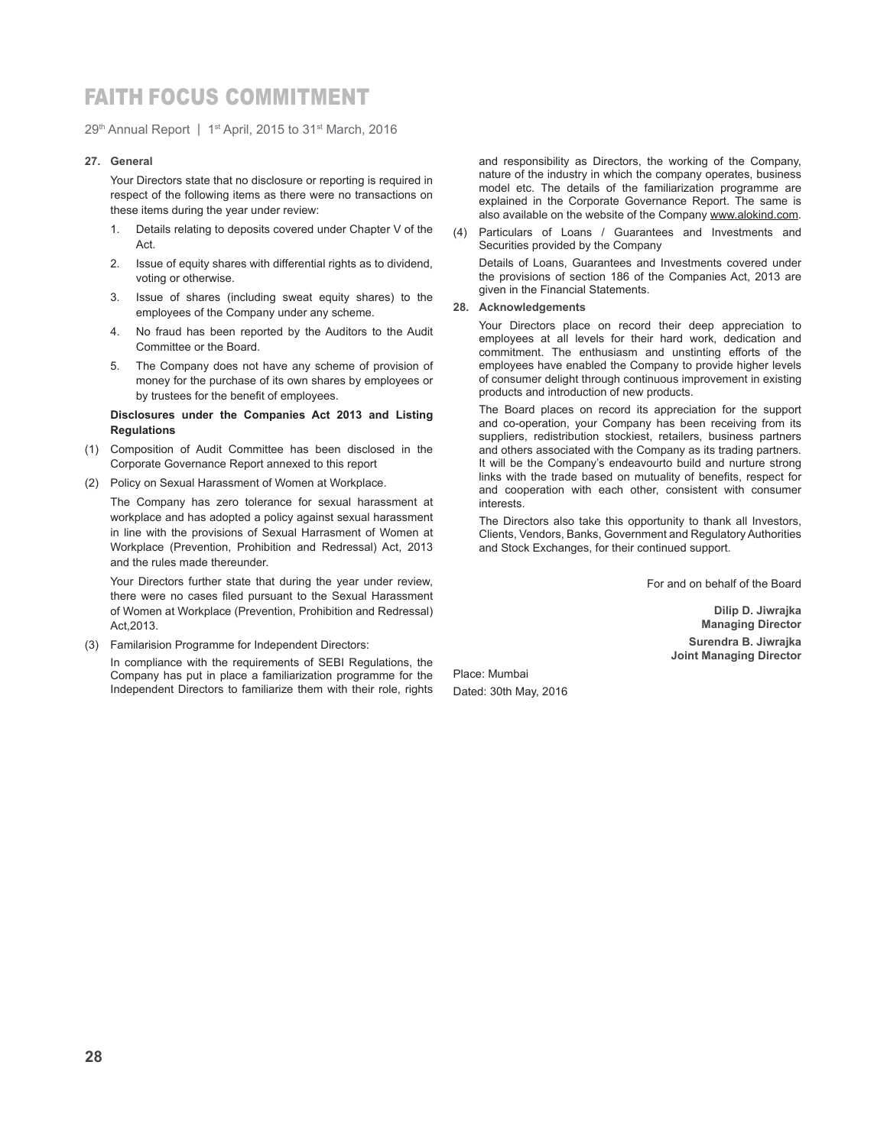### FAITH FOCUS COMMITMENT

29<sup>th</sup> Annual Report | 1<sup>st</sup> April, 2015 to 31<sup>st</sup> March, 2016

#### **27. General**

 Your Directors state that no disclosure or reporting is required in respect of the following items as there were no transactions on these items during the year under review:

- 1. Details relating to deposits covered under Chapter V of the **Act**
- 2. Issue of equity shares with differential rights as to dividend, voting or otherwise.
- 3. Issue of shares (including sweat equity shares) to the employees of the Company under any scheme.
- 4. No fraud has been reported by the Auditors to the Audit Committee or the Board.
- 5. The Company does not have any scheme of provision of money for the purchase of its own shares by employees or by trustees for the benefit of employees.

#### **Disclosures under the Companies Act 2013 and Listing Regulations**

- (1) Composition of Audit Committee has been disclosed in the Corporate Governance Report annexed to this report
- (2) Policy on Sexual Harassment of Women at Workplace.

 The Company has zero tolerance for sexual harassment at workplace and has adopted a policy against sexual harassment in line with the provisions of Sexual Harrasment of Women at Workplace (Prevention, Prohibition and Redressal) Act, 2013 and the rules made thereunder.

 Your Directors further state that during the year under review, there were no cases filed pursuant to the Sexual Harassment of Women at Workplace (Prevention, Prohibition and Redressal) Act,2013.

(3) Familarision Programme for Independent Directors:

 In compliance with the requirements of SEBI Regulations, the Company has put in place a familiarization programme for the Independent Directors to familiarize them with their role, rights and responsibility as Directors, the working of the Company, nature of the industry in which the company operates, business model etc. The details of the familiarization programme are explained in the Corporate Governance Report. The same is also available on the website of the Company www.alokind.com.

(4) Particulars of Loans / Guarantees and Investments and Securities provided by the Company

 Details of Loans, Guarantees and Investments covered under the provisions of section 186 of the Companies Act, 2013 are given in the Financial Statements.

#### **28. Acknowledgements**

 Your Directors place on record their deep appreciation to employees at all levels for their hard work, dedication and commitment. The enthusiasm and unstinting efforts of the employees have enabled the Company to provide higher levels of consumer delight through continuous improvement in existing products and introduction of new products.

 The Board places on record its appreciation for the support and co-operation, your Company has been receiving from its suppliers, redistribution stockiest, retailers, business partners and others associated with the Company as its trading partners. It will be the Company's endeavourto build and nurture strong links with the trade based on mutuality of benefits, respect for and cooperation with each other, consistent with consumer interests.

 The Directors also take this opportunity to thank all Investors, Clients, Vendors, Banks, Government and Regulatory Authorities and Stock Exchanges, for their continued support.

For and on behalf of the Board

**Dilip D. Jiwrajka Managing Director Surendra B. Jiwrajka Joint Managing Director**

Place: Mumbai Dated: 30th May, 2016